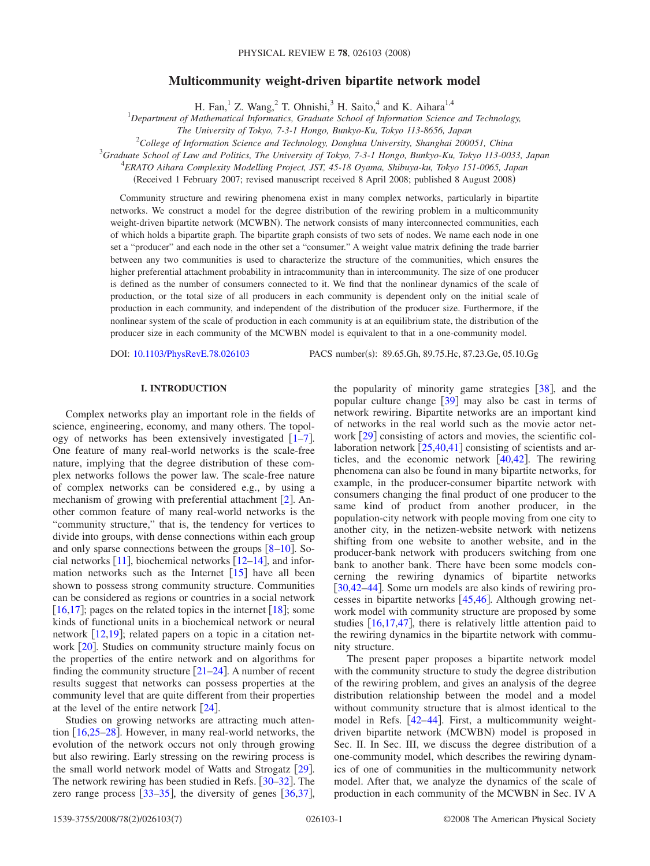# **Multicommunity weight-driven bipartite network model**

H. Fan,<sup>1</sup> Z. Wang,<sup>2</sup> T. Ohnishi,<sup>3</sup> H. Saito,<sup>4</sup> and K. Aihara<sup>1,4</sup>

1 *Department of Mathematical Informatics, Graduate School of Information Science and Technology,*

*The University of Tokyo, 7-3-1 Hongo, Bunkyo-Ku, Tokyo 113-8656, Japan*

2 *College of Information Science and Technology, Donghua University, Shanghai 200051, China*

3 *Graduate School of Law and Politics, The University of Tokyo, 7-3-1 Hongo, Bunkyo-Ku, Tokyo 113-0033, Japan*

4 *ERATO Aihara Complexity Modelling Project, JST, 45-18 Oyama, Shibuya-ku, Tokyo 151-0065, Japan*

Received 1 February 2007; revised manuscript received 8 April 2008; published 8 August 2008-

Community structure and rewiring phenomena exist in many complex networks, particularly in bipartite networks. We construct a model for the degree distribution of the rewiring problem in a multicommunity weight-driven bipartite network (MCWBN). The network consists of many interconnected communities, each of which holds a bipartite graph. The bipartite graph consists of two sets of nodes. We name each node in one set a "producer" and each node in the other set a "consumer." A weight value matrix defining the trade barrier between any two communities is used to characterize the structure of the communities, which ensures the higher preferential attachment probability in intracommunity than in intercommunity. The size of one producer is defined as the number of consumers connected to it. We find that the nonlinear dynamics of the scale of production, or the total size of all producers in each community is dependent only on the initial scale of production in each community, and independent of the distribution of the producer size. Furthermore, if the nonlinear system of the scale of production in each community is at an equilibrium state, the distribution of the producer size in each community of the MCWBN model is equivalent to that in a one-community model.

DOI: [10.1103/PhysRevE.78.026103](http://dx.doi.org/10.1103/PhysRevE.78.026103)

PACS number(s): 89.65.Gh, 89.75.Hc, 87.23.Ge, 05.10.Gg

#### **I. INTRODUCTION**

Complex networks play an important role in the fields of science, engineering, economy, and many others. The topology of networks has been extensively investigated  $[1-7]$  $[1-7]$  $[1-7]$ . One feature of many real-world networks is the scale-free nature, implying that the degree distribution of these complex networks follows the power law. The scale-free nature of complex networks can be considered e.g., by using a mechanism of growing with preferential attachment  $[2]$  $[2]$  $[2]$ . Another common feature of many real-world networks is the "community structure," that is, the tendency for vertices to divide into groups, with dense connections within each group and only sparse connections between the groups  $\lceil 8-10 \rceil$  $\lceil 8-10 \rceil$  $\lceil 8-10 \rceil$ . Social networks  $[11]$  $[11]$  $[11]$ , biochemical networks  $[12-14]$  $[12-14]$  $[12-14]$ , and information networks such as the Internet  $[15]$  $[15]$  $[15]$  have all been shown to possess strong community structure. Communities can be considered as regions or countries in a social network [[16](#page-5-9)[,17](#page-5-10)]; pages on the related topics in the internet [[18](#page-5-11)]; some kinds of functional units in a biochemical network or neural network  $[12,19]$  $[12,19]$  $[12,19]$  $[12,19]$ ; related papers on a topic in a citation network  $[20]$  $[20]$  $[20]$ . Studies on community structure mainly focus on the properties of the entire network and on algorithms for finding the community structure  $[21-24]$  $[21-24]$  $[21-24]$ . A number of recent results suggest that networks can possess properties at the community level that are quite different from their properties at the level of the entire network  $\lceil 24 \rceil$  $\lceil 24 \rceil$  $\lceil 24 \rceil$ .

Studies on growing networks are attracting much attention  $[16,25-28]$  $[16,25-28]$  $[16,25-28]$  $[16,25-28]$  $[16,25-28]$ . However, in many real-world networks, the evolution of the network occurs not only through growing but also rewiring. Early stressing on the rewiring process is the small world network model of Watts and Strogatz [[29](#page-6-3)]. The network rewiring has been studied in Refs.  $\left[30-32\right]$  $\left[30-32\right]$  $\left[30-32\right]$ . The zero range process  $[33-35]$  $[33-35]$  $[33-35]$ , the diversity of genes  $[36,37]$  $[36,37]$  $[36,37]$  $[36,37]$ , the popularity of minority game strategies  $[38]$  $[38]$  $[38]$ , and the popular culture change  $[39]$  $[39]$  $[39]$  may also be cast in terms of network rewiring. Bipartite networks are an important kind of networks in the real world such as the movie actor network  $\lceil 29 \rceil$  $\lceil 29 \rceil$  $\lceil 29 \rceil$  consisting of actors and movies, the scientific collaboration network  $\left[25,40,41\right]$  $\left[25,40,41\right]$  $\left[25,40,41\right]$  $\left[25,40,41\right]$  $\left[25,40,41\right]$  consisting of scientists and articles, and the economic network  $[40, 42]$  $[40, 42]$  $[40, 42]$  $[40, 42]$  $[40, 42]$ . The rewiring phenomena can also be found in many bipartite networks, for example, in the producer-consumer bipartite network with consumers changing the final product of one producer to the same kind of product from another producer, in the population-city network with people moving from one city to another city, in the netizen-website network with netizens shifting from one website to another website, and in the producer-bank network with producers switching from one bank to another bank. There have been some models concerning the rewiring dynamics of bipartite networks [[30,](#page-6-4)[42–](#page-6-14)[44](#page-6-15)]. Some urn models are also kinds of rewiring processes in bipartite networks  $[45, 46]$  $[45, 46]$  $[45, 46]$ . Although growing network model with community structure are proposed by some studies  $[16,17,47]$  $[16,17,47]$  $[16,17,47]$  $[16,17,47]$  $[16,17,47]$ , there is relatively little attention paid to the rewiring dynamics in the bipartite network with community structure.

The present paper proposes a bipartite network model with the community structure to study the degree distribution of the rewiring problem, and gives an analysis of the degree distribution relationship between the model and a model without community structure that is almost identical to the model in Refs.  $[42-44]$  $[42-44]$  $[42-44]$ . First, a multicommunity weightdriven bipartite network (MCWBN) model is proposed in Sec. II. In Sec. III, we discuss the degree distribution of a one-community model, which describes the rewiring dynamics of one of communities in the multicommunity network model. After that, we analyze the dynamics of the scale of production in each community of the MCWBN in Sec. IV A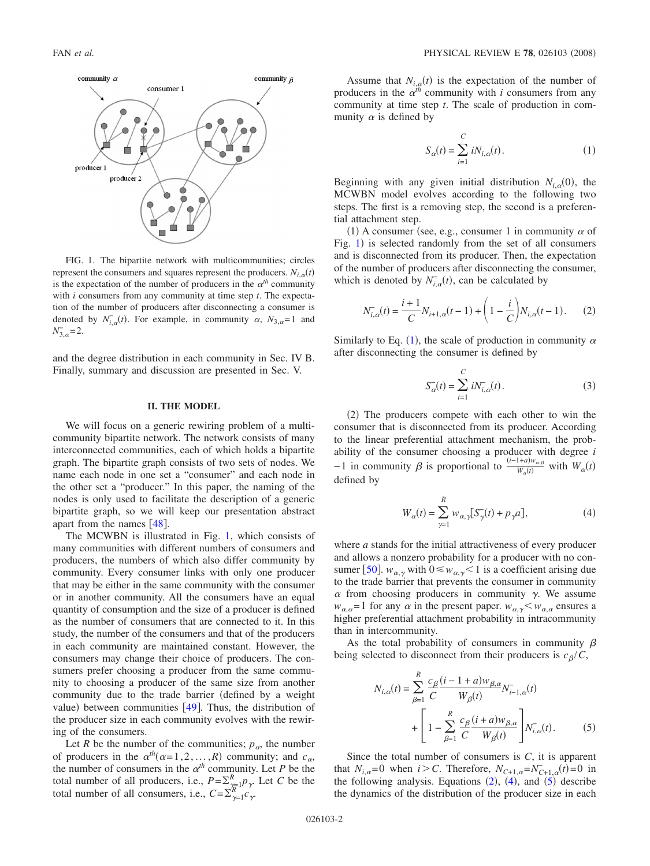<span id="page-1-0"></span>

FIG. 1. The bipartite network with multicommunities; circles represent the consumers and squares represent the producers.  $N_{i,\alpha}(t)$ is the expectation of the number of producers in the  $\alpha^{th}$  community with *i* consumers from any community at time step *t*. The expectation of the number of producers after disconnecting a consumer is denoted by  $N_{i,\alpha}^-(t)$ . For example, in community  $\alpha$ ,  $N_{3,\alpha}=1$  and  $N_{3,\alpha} = 2.$ 

and the degree distribution in each community in Sec. IV B. Finally, summary and discussion are presented in Sec. V.

#### **II. THE MODEL**

We will focus on a generic rewiring problem of a multicommunity bipartite network. The network consists of many interconnected communities, each of which holds a bipartite graph. The bipartite graph consists of two sets of nodes. We name each node in one set a "consumer" and each node in the other set a "producer." In this paper, the naming of the nodes is only used to facilitate the description of a generic bipartite graph, so we will keep our presentation abstract apart from the names  $[48]$  $[48]$  $[48]$ .

The MCWBN is illustrated in Fig. [1,](#page-1-0) which consists of many communities with different numbers of consumers and producers, the numbers of which also differ community by community. Every consumer links with only one producer that may be either in the same community with the consumer or in another community. All the consumers have an equal quantity of consumption and the size of a producer is defined as the number of consumers that are connected to it. In this study, the number of the consumers and that of the producers in each community are maintained constant. However, the consumers may change their choice of producers. The consumers prefer choosing a producer from the same community to choosing a producer of the same size from another community due to the trade barrier defined by a weight value) between communities  $[49]$  $[49]$  $[49]$ . Thus, the distribution of the producer size in each community evolves with the rewiring of the consumers.

Let *R* be the number of the communities;  $p_{\alpha}$ , the number of producers in the  $\alpha^{th}(\alpha=1,2,\ldots,R)$  community; and  $c_{\alpha}$ , the number of consumers in the  $\alpha^{th}$  community. Let *P* be the total number of all producers, i.e.,  $P = \sum_{k=1}^{R} p_{\gamma}$ . Let *C* be the total number of all consumers, i.e.,  $C = \sum_{\gamma=1}^{R} c_{\gamma}$ .

Assume that  $N_{i,q}(t)$  is the expectation of the number of producers in the  $\alpha^{th}$  community with *i* consumers from any community at time step *t*. The scale of production in community  $\alpha$  is defined by

$$
S_{\alpha}(t) = \sum_{i=1}^{C} iN_{i,\alpha}(t).
$$
 (1)

<span id="page-1-1"></span>Beginning with any given initial distribution  $N_{i,\alpha}(0)$ , the MCWBN model evolves according to the following two steps. The first is a removing step, the second is a preferential attachment step.

(1) A consumer (see, e.g., consumer 1 in community  $\alpha$  of Fig. [1](#page-1-0)) is selected randomly from the set of all consumers and is disconnected from its producer. Then, the expectation of the number of producers after disconnecting the consumer, which is denoted by  $N_{i,\alpha}(t)$ , can be calculated by

$$
N_{i,\alpha}^{-}(t) = \frac{i+1}{C} N_{i+1,\alpha}(t-1) + \left(1 - \frac{i}{C}\right) N_{i,\alpha}(t-1). \tag{2}
$$

<span id="page-1-2"></span>Similarly to Eq. ([1](#page-1-1)), the scale of production in community  $\alpha$ after disconnecting the consumer is defined by

$$
S_{\alpha}^{-}(t) = \sum_{i=1}^{C} iN_{i,\alpha}^{-}(t).
$$
 (3)

<span id="page-1-5"></span>(2) The producers compete with each other to win the consumer that is disconnected from its producer. According to the linear preferential attachment mechanism, the probability of the consumer choosing a producer with degree *i*  $-1$  in community  $\beta$  is proportional to  $\frac{(i-1+a)w_{\alpha,\beta}}{W(t)}$  $\frac{W_a(t)}{W_a(t)}$  with  $W_a(t)$ defined by

$$
W_{\alpha}(t) = \sum_{\gamma=1}^{R} w_{\alpha,\gamma} [S_{\gamma}(t) + p_{\gamma} a], \qquad (4)
$$

<span id="page-1-3"></span>where *a* stands for the initial attractiveness of every producer and allows a nonzero probability for a producer with no con-sumer [[50](#page-6-19)].  $w_{\alpha,\gamma}$  with  $0 \leq w_{\alpha,\gamma} < 1$  is a coefficient arising due to the trade barrier that prevents the consumer in community  $\alpha$  from choosing producers in community  $\gamma$ . We assume  $w_{\alpha,\alpha} = 1$  for any  $\alpha$  in the present paper.  $w_{\alpha,\gamma} < w_{\alpha,\alpha}$  ensures a higher preferential attachment probability in intracommunity than in intercommunity.

As the total probability of consumers in community  $\beta$ being selected to disconnect from their producers is  $c_{\beta}/C$ ,

<span id="page-1-4"></span>
$$
N_{i,\alpha}(t) = \sum_{\beta=1}^{R} \frac{c_{\beta}}{C} \frac{(i - 1 + a)w_{\beta,\alpha}}{W_{\beta}(t)} N_{i-1,\alpha}(t) + \left[ 1 - \sum_{\beta=1}^{R} \frac{c_{\beta}}{C} \frac{(i + a)w_{\beta,\alpha}}{W_{\beta}(t)} \right] N_{i,\alpha}(t).
$$
 (5)

Since the total number of consumers is *C*, it is apparent that  $N_{i,\alpha}=0$  when  $i>C$ . Therefore,  $N_{C+1,\alpha}=N_{C+1,\alpha}(i)=0$  in the following analysis. Equations  $(2)$  $(2)$  $(2)$ ,  $(4)$  $(4)$  $(4)$ , and  $(5)$  $(5)$  $(5)$  describe the dynamics of the distribution of the producer size in each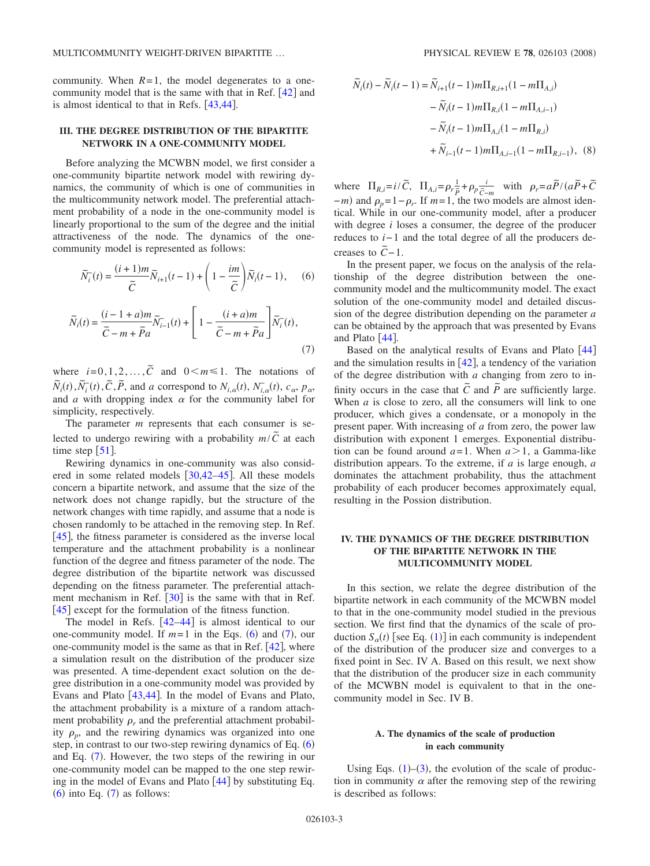community. When  $R=1$ , the model degenerates to a onecommunity model that is the same with that in Ref.  $[42]$  $[42]$  $[42]$  and is almost identical to that in Refs.  $[43, 44]$  $[43, 44]$  $[43, 44]$ .

### **III. THE DEGREE DISTRIBUTION OF THE BIPARTITE NETWORK IN A ONE-COMMUNITY MODEL**

Before analyzing the MCWBN model, we first consider a one-community bipartite network model with rewiring dynamics, the community of which is one of communities in the multicommunity network model. The preferential attachment probability of a node in the one-community model is linearly proportional to the sum of the degree and the initial attractiveness of the node. The dynamics of the onecommunity model is represented as follows:

<span id="page-2-0"></span>
$$
\widetilde{N}_i^-(t) = \frac{(i+1)m}{\widetilde{C}} \widetilde{N}_{i+1}(t-1) + \left(1 - \frac{im}{\widetilde{C}}\right) \widetilde{N}_i(t-1),\qquad(6)
$$

<span id="page-2-1"></span>
$$
\widetilde{N}_i(t) = \frac{(i-1+a)m}{\widetilde{C}-m+\widetilde{P}a}\widetilde{N}_{i-1}(t) + \left[1-\frac{(i+a)m}{\widetilde{C}-m+\widetilde{P}a}\right]\widetilde{N}_i(t),\tag{7}
$$

where  $i=0,1,2,...,\tilde{C}$  and  $0\leq m\leq 1$ . The notations of  $\tilde{N}_i(t), \tilde{N}_i^-(t), \tilde{C}, \tilde{P}$ , and *a* correspond to  $N_{i,a}(t), N_{i,a}^-(t), c_{\alpha}, p_{\alpha}$ and *a* with dropping index  $\alpha$  for the community label for simplicity, respectively.

The parameter *m* represents that each consumer is selected to undergo rewiring with a probability  $m/\tilde{C}$  at each time step  $\lceil 51 \rceil$  $\lceil 51 \rceil$  $\lceil 51 \rceil$ .

Rewiring dynamics in one-community was also considered in some related models  $[30,42-45]$  $[30,42-45]$  $[30,42-45]$  $[30,42-45]$  $[30,42-45]$ . All these models concern a bipartite network, and assume that the size of the network does not change rapidly, but the structure of the network changes with time rapidly, and assume that a node is chosen randomly to be attached in the removing step. In Ref.  $[45]$  $[45]$  $[45]$ , the fitness parameter is considered as the inverse local temperature and the attachment probability is a nonlinear function of the degree and fitness parameter of the node. The degree distribution of the bipartite network was discussed depending on the fitness parameter. The preferential attachment mechanism in Ref.  $\lceil 30 \rceil$  $\lceil 30 \rceil$  $\lceil 30 \rceil$  is the same with that in Ref. [[45](#page-6-16)] except for the formulation of the fitness function.

The model in Refs.  $[42-44]$  $[42-44]$  $[42-44]$  is almost identical to our one-community model. If  $m=1$  in the Eqs. ([6](#page-2-0)) and ([7](#page-2-1)), our one-community model is the same as that in Ref.  $[42]$  $[42]$  $[42]$ , where a simulation result on the distribution of the producer size was presented. A time-dependent exact solution on the degree distribution in a one-community model was provided by Evans and Plato  $[43, 44]$  $[43, 44]$  $[43, 44]$ . In the model of Evans and Plato, the attachment probability is a mixture of a random attachment probability  $\rho_r$  and the preferential attachment probability  $\rho_p$ , and the rewiring dynamics was organized into one step, in contrast to our two-step rewiring dynamics of Eq.  $(6)$  $(6)$  $(6)$ and Eq. ([7](#page-2-1)). However, the two steps of the rewiring in our one-community model can be mapped to the one step rewiring in the model of Evans and Plato  $\lceil 44 \rceil$  $\lceil 44 \rceil$  $\lceil 44 \rceil$  by substituting Eq.  $(6)$  $(6)$  $(6)$  into Eq.  $(7)$  $(7)$  $(7)$  as follows:

$$
\widetilde{N}_i(t) - \widetilde{N}_i(t-1) = \widetilde{N}_{i+1}(t-1)m\Pi_{R,i+1}(1-m\Pi_{A,i})
$$

$$
- \widetilde{N}_i(t-1)m\Pi_{R,i}(1-m\Pi_{A,i-1})
$$

$$
- \widetilde{N}_i(t-1)m\Pi_{A,i}(1-m\Pi_{R,i})
$$

$$
+ \widetilde{N}_{i-1}(t-1)m\Pi_{A,i-1}(1-m\Pi_{R,i-1}), \quad (8)
$$

where  $\Pi_{R,i} = i/\tilde{C}$ ,  $\Pi_{A,i} = \rho_r \frac{1}{\tilde{P}} + \rho_p \frac{i}{\tilde{C}-m}$  with  $\rho_r = a\tilde{P}/(a\tilde{P} + \tilde{C})$  $-m$ ) and  $\rho_p = 1 - \rho_r$ . If  $m = 1$ , the two models are almost identical. While in our one-community model, after a producer with degree *i* loses a consumer, the degree of the producer reduces to *i*−1 and the total degree of all the producers decreases to  $C-1$ .

In the present paper, we focus on the analysis of the relationship of the degree distribution between the onecommunity model and the multicommunity model. The exact solution of the one-community model and detailed discussion of the degree distribution depending on the parameter *a* can be obtained by the approach that was presented by Evans and Plato  $[44]$  $[44]$  $[44]$ .

Based on the analytical results of Evans and Plato  $[44]$  $[44]$  $[44]$ and the simulation results in  $[42]$  $[42]$  $[42]$ , a tendency of the variation of the degree distribution with *a* changing from zero to infinity occurs in the case that  $\tilde{C}$  and  $\tilde{P}$  are sufficiently large. When *a* is close to zero, all the consumers will link to one producer, which gives a condensate, or a monopoly in the present paper. With increasing of *a* from zero, the power law distribution with exponent 1 emerges. Exponential distribution can be found around  $a=1$ . When  $a>1$ , a Gamma-like distribution appears. To the extreme, if *a* is large enough, *a* dominates the attachment probability, thus the attachment probability of each producer becomes approximately equal, resulting in the Possion distribution.

## **IV. THE DYNAMICS OF THE DEGREE DISTRIBUTION OF THE BIPARTITE NETWORK IN THE MULTICOMMUNITY MODEL**

In this section, we relate the degree distribution of the bipartite network in each community of the MCWBN model to that in the one-community model studied in the previous section. We first find that the dynamics of the scale of production  $S_\alpha(t)$  [see Eq. ([1](#page-1-1))] in each community is independent of the distribution of the producer size and converges to a fixed point in Sec. IV A. Based on this result, we next show that the distribution of the producer size in each community of the MCWBN model is equivalent to that in the onecommunity model in Sec. IV B.

### **A. The dynamics of the scale of production in each community**

Using Eqs.  $(1)$  $(1)$  $(1)$ – $(3)$  $(3)$  $(3)$ , the evolution of the scale of production in community  $\alpha$  after the removing step of the rewiring is described as follows: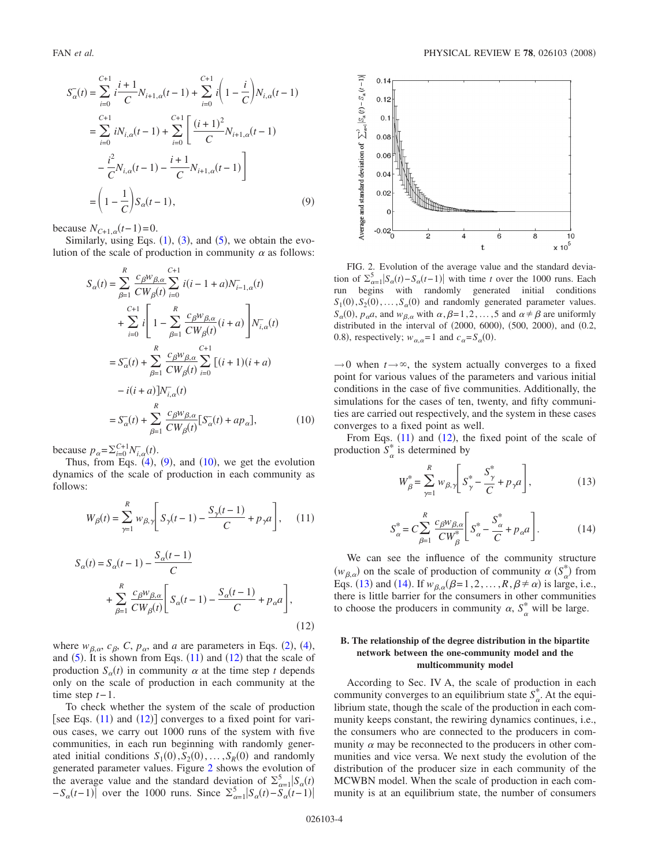<span id="page-3-0"></span>
$$
S_{\alpha}^{-}(t) = \sum_{i=0}^{C+1} i \frac{i+1}{C} N_{i+1,\alpha}(t-1) + \sum_{i=0}^{C+1} i \left( 1 - \frac{i}{C} \right) N_{i,\alpha}(t-1)
$$
  
\n
$$
= \sum_{i=0}^{C+1} i N_{i,\alpha}(t-1) + \sum_{i=0}^{C+1} \left[ \frac{(i+1)^2}{C} N_{i+1,\alpha}(t-1) - \frac{i^2}{C} N_{i,\alpha}(t-1) - \frac{i+1}{C} N_{i+1,\alpha}(t-1) \right]
$$
  
\n
$$
= \left( 1 - \frac{1}{C} \right) S_{\alpha}(t-1), \tag{9}
$$

because  $N_{C+1,\alpha}(t-1)=0$ .

Similarly, using Eqs.  $(1)$  $(1)$  $(1)$ ,  $(3)$  $(3)$  $(3)$ , and  $(5)$  $(5)$  $(5)$ , we obtain the evolution of the scale of production in community  $\alpha$  as follows:

<span id="page-3-1"></span>
$$
S_{\alpha}(t) = \sum_{\beta=1}^{R} \frac{c_{\beta}w_{\beta,\alpha}}{CW_{\beta}(t)} \sum_{i=0}^{C+1} i(i-1+a)N_{i-1,\alpha}^{-}(t) + \sum_{i=0}^{C+1} i \left[ 1 - \sum_{\beta=1}^{R} \frac{c_{\beta}w_{\beta,\alpha}}{CW_{\beta}(t)}(i+a) \right] N_{i,\alpha}^{-}(t) = S_{\alpha}^{-}(t) + \sum_{\beta=1}^{R} \frac{c_{\beta}w_{\beta,\alpha}}{CW_{\beta}(t)} \sum_{i=0}^{C+1} [(i+1)(i+a) -i(i+a)]N_{i,\alpha}^{-}(t) = S_{\alpha}^{-}(t) + \sum_{\beta=1}^{R} \frac{c_{\beta}w_{\beta,\alpha}}{CW_{\beta}(t)} [S_{\alpha}^{-}(t) + ap_{\alpha}], \qquad (10)
$$

because  $p_{\alpha} = \sum_{i=0}^{C+1} N_{i,\alpha}^-(t)$ .

Thus, from Eqs.  $(4)$  $(4)$  $(4)$ ,  $(9)$  $(9)$  $(9)$ , and  $(10)$  $(10)$  $(10)$ , we get the evolution dynamics of the scale of production in each community as follows:

<span id="page-3-2"></span>
$$
W_{\beta}(t) = \sum_{\gamma=1}^{R} w_{\beta,\gamma} \left[ S_{\gamma}(t-1) - \frac{S_{\gamma}(t-1)}{C} + p_{\gamma} a \right], \quad (11)
$$

<span id="page-3-3"></span>
$$
S_{\alpha}(t) = S_{\alpha}(t-1) - \frac{S_{\alpha}(t-1)}{C} + \sum_{\beta=1}^{R} \frac{c_{\beta} w_{\beta,\alpha}}{CW_{\beta}(t)} \left[ S_{\alpha}(t-1) - \frac{S_{\alpha}(t-1)}{C} + p_{\alpha} a \right],
$$
\n(12)

where  $w_{\beta,\alpha}$ ,  $c_{\beta}$ ,  $C$ ,  $p_{\alpha}$ , and *a* are parameters in Eqs. ([2](#page-1-2)), ([4](#page-1-3)), and  $(5)$  $(5)$  $(5)$ . It is shown from Eqs.  $(11)$  $(11)$  $(11)$  and  $(12)$  $(12)$  $(12)$  that the scale of production  $S_\alpha(t)$  in community  $\alpha$  at the time step *t* depends only on the scale of production in each community at the time step  $t-1$ .

To check whether the system of the scale of production [see Eqs.  $(11)$  $(11)$  $(11)$  and  $(12)$  $(12)$  $(12)$ ] converges to a fixed point for various cases, we carry out 1000 runs of the system with five communities, in each run beginning with randomly generated initial conditions  $S_1(0), S_2(0), \ldots, S_R(0)$  and randomly generated parameter values. Figure [2](#page-3-4) shows the evolution of the average value and the standard deviation of  $\sum_{\alpha=1}^{5} |S_{\alpha}(t)|$  $-S_{\alpha}(t-1)$  over the 1000 runs. Since  $\sum_{\alpha=1}^{5} |S_{\alpha}(t) - S_{\alpha}(t-1)|$ 

<span id="page-3-4"></span>

FIG. 2. Evolution of the average value and the standard deviation of  $\sum_{\alpha=1}^{5} |S_{\alpha}(t) - S_{\alpha}(t-1)|$  with time *t* over the 1000 runs. Each run begins with randomly generated initial conditions  $S_1(0), S_2(0), \ldots, S_\alpha(0)$  and randomly generated parameter values.  $S_{\alpha}(0)$ ,  $p_{\alpha}a$ , and  $w_{\beta,\alpha}$  with  $\alpha, \beta=1,2,\ldots,5$  and  $\alpha \neq \beta$  are uniformly distributed in the interval of  $(2000, 6000)$ ,  $(500, 2000)$ , and  $(0.2, 0.2000)$ 0.8), respectively;  $w_{\alpha,\alpha} = 1$  and  $c_{\alpha} = S_{\alpha}(0)$ .

 $\rightarrow$ 0 when  $t \rightarrow \infty$ , the system actually converges to a fixed point for various values of the parameters and various initial conditions in the case of five communities. Additionally, the simulations for the cases of ten, twenty, and fifty communities are carried out respectively, and the system in these cases converges to a fixed point as well.

<span id="page-3-5"></span>From Eqs.  $(11)$  $(11)$  $(11)$  and  $(12)$  $(12)$  $(12)$ , the fixed point of the scale of production  $S^*_{\alpha}$  is determined by

$$
W_{\beta}^{*} = \sum_{\gamma=1}^{R} w_{\beta,\gamma} \bigg[ S_{\gamma}^{*} - \frac{S_{\gamma}^{*}}{C} + p_{\gamma} a \bigg],
$$
 (13)

$$
S_{\alpha}^* = C \sum_{\beta=1}^R \frac{c_{\beta} w_{\beta,\alpha}}{C W_{\beta}^*} \bigg[ S_{\alpha}^* - \frac{S_{\alpha}^*}{C} + p_{\alpha} a \bigg]. \tag{14}
$$

<span id="page-3-6"></span>We can see the influence of the community structure  $(w_{\beta,\alpha})$  on the scale of production of community  $\alpha$  ( $S^*_{\alpha}$ ) from Eqs. ([13](#page-3-5)) and ([14](#page-3-6)). If  $w_{\beta,\alpha}(\beta=1,2,\ldots,R,\beta \neq \alpha)$  is large, i.e., there is little barrier for the consumers in other communities to choose the producers in community  $\alpha$ ,  $S_{\alpha}^*$  will be large.

### **B. The relationship of the degree distribution in the bipartite network between the one-community model and the multicommunity model**

According to Sec. IV A, the scale of production in each community converges to an equilibrium state  $S^*_{\alpha}$ . At the equilibrium state, though the scale of the production in each community keeps constant, the rewiring dynamics continues, i.e., the consumers who are connected to the producers in community  $\alpha$  may be reconnected to the producers in other communities and vice versa. We next study the evolution of the distribution of the producer size in each community of the MCWBN model. When the scale of production in each community is at an equilibrium state, the number of consumers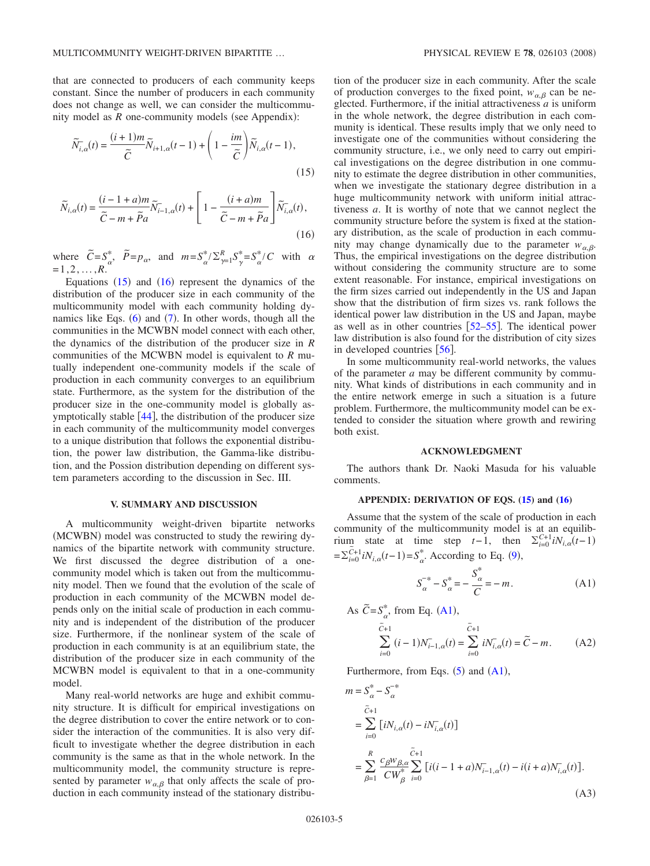that are connected to producers of each community keeps constant. Since the number of producers in each community does not change as well, we can consider the multicommunity model as  $R$  one-community models (see Appendix):

<span id="page-4-0"></span>
$$
\widetilde{N}_{i,\alpha}(t) = \frac{(i+1)m}{\widetilde{C}} \widetilde{N}_{i+1,\alpha}(t-1) + \left(1 - \frac{im}{\widetilde{C}}\right) \widetilde{N}_{i,\alpha}(t-1),\tag{15}
$$

<span id="page-4-1"></span>
$$
\widetilde{N}_{i,\alpha}(t) = \frac{(i-1+a)m}{\widetilde{C}-m+\widetilde{P}a}\widetilde{N}_{i-1,\alpha}(t) + \left[1-\frac{(i+a)m}{\widetilde{C}-m+\widetilde{P}a}\right]\widetilde{N}_{i,\alpha}(t),\tag{16}
$$

where  $\widetilde{C} = S^*_{\alpha}, \widetilde{P} = p_{\alpha}, \text{ and } m = S^*_{\alpha}/\sum_{\gamma=1}^R S^*_{\gamma} = S^*_{\alpha}/C \text{ with } \alpha$  $=1,2,...,R$ .

Equations  $(15)$  $(15)$  $(15)$  and  $(16)$  $(16)$  $(16)$  represent the dynamics of the distribution of the producer size in each community of the multicommunity model with each community holding dynamics like Eqs.  $(6)$  $(6)$  $(6)$  and  $(7)$  $(7)$  $(7)$ . In other words, though all the communities in the MCWBN model connect with each other, the dynamics of the distribution of the producer size in *R* communities of the MCWBN model is equivalent to *R* mutually independent one-community models if the scale of production in each community converges to an equilibrium state. Furthermore, as the system for the distribution of the producer size in the one-community model is globally asymptotically stable  $[44]$  $[44]$  $[44]$ , the distribution of the producer size in each community of the multicommunity model converges to a unique distribution that follows the exponential distribution, the power law distribution, the Gamma-like distribution, and the Possion distribution depending on different system parameters according to the discussion in Sec. III.

#### **V. SUMMARY AND DISCUSSION**

A multicommunity weight-driven bipartite networks (MCWBN) model was constructed to study the rewiring dynamics of the bipartite network with community structure. We first discussed the degree distribution of a onecommunity model which is taken out from the multicommunity model. Then we found that the evolution of the scale of production in each community of the MCWBN model depends only on the initial scale of production in each community and is independent of the distribution of the producer size. Furthermore, if the nonlinear system of the scale of production in each community is at an equilibrium state, the distribution of the producer size in each community of the MCWBN model is equivalent to that in a one-community model.

Many real-world networks are huge and exhibit community structure. It is difficult for empirical investigations on the degree distribution to cover the entire network or to consider the interaction of the communities. It is also very difficult to investigate whether the degree distribution in each community is the same as that in the whole network. In the multicommunity model, the community structure is represented by parameter  $w_{\alpha,\beta}$  that only affects the scale of production in each community instead of the stationary distribution of the producer size in each community. After the scale of production converges to the fixed point,  $w_{\alpha,\beta}$  can be neglected. Furthermore, if the initial attractiveness *a* is uniform in the whole network, the degree distribution in each community is identical. These results imply that we only need to investigate one of the communities without considering the community structure, i.e., we only need to carry out empirical investigations on the degree distribution in one community to estimate the degree distribution in other communities, when we investigate the stationary degree distribution in a huge multicommunity network with uniform initial attractiveness *a*. It is worthy of note that we cannot neglect the community structure before the system is fixed at the stationary distribution, as the scale of production in each community may change dynamically due to the parameter  $w_{\alpha,\beta}$ . Thus, the empirical investigations on the degree distribution without considering the community structure are to some extent reasonable. For instance, empirical investigations on the firm sizes carried out independently in the US and Japan show that the distribution of firm sizes vs. rank follows the identical power law distribution in the US and Japan, maybe as well as in other countries  $[52-55]$  $[52-55]$  $[52-55]$ . The identical power law distribution is also found for the distribution of city sizes in developed countries  $\lceil 56 \rceil$  $\lceil 56 \rceil$  $\lceil 56 \rceil$ .

In some multicommunity real-world networks, the values of the parameter *a* may be different community by community. What kinds of distributions in each community and in the entire network emerge in such a situation is a future problem. Furthermore, the multicommunity model can be extended to consider the situation where growth and rewiring both exist.

#### **ACKNOWLEDGMENT**

The authors thank Dr. Naoki Masuda for his valuable comments.

#### **APPENDIX: DERIVATION OF EQS. [\(15\)](#page-4-0) and [\(16\)](#page-4-1)**

Assume that the system of the scale of production in each community of the multicommunity model is at an equilibrium state at time step *t*−1, then  $\Sigma_{i=0}^{C+1} iN_{i,\alpha}(t-1)$  $=\sum_{i=0}^{\tilde{C}+1} iN_{i,\alpha}(t-1) = S_{\alpha}^{*}$ . According to Eq. ([9](#page-3-0)),

$$
S_{\alpha}^{-*} - S_{\alpha}^{*} = -\frac{S_{\alpha}^{*}}{C} = -m.
$$
 (A1)

<span id="page-4-2"></span>As 
$$
\tilde{C} = S_{\alpha}^{*}
$$
, from Eq. (A1),  
\n
$$
\tilde{C}_{+1} = \sum_{i=0}^{\tilde{C}+1} (i-1)N_{i-1,\alpha}^{-}(t) = \sum_{i=0}^{\tilde{C}+1} iN_{i,\alpha}^{-}(t) = \tilde{C} - m.
$$
\n(A2)

<span id="page-4-3"></span>Furthermore, from Eqs.  $(5)$  $(5)$  $(5)$  and  $(A1)$  $(A1)$  $(A1)$ ,

<span id="page-4-4"></span>
$$
m = S_{\alpha}^{*} - S_{\alpha}^{-*}
$$
  
=  $\sum_{i=0}^{\tilde{C}+1} [iN_{i,\alpha}(t) - iN_{i,\alpha}^{\tilde{C}+1}(t)]$   
=  $\sum_{\beta=1}^{R} \frac{c_{\beta}w_{\beta,\alpha}}{CW_{\beta}^{*}} \sum_{i=0}^{\tilde{C}+1} [i(i-1+a)N_{i-1,\alpha}^{\tilde{C}}(t) - i(i+a)N_{i,\alpha}^{\tilde{C}}(t)].$   
(A3)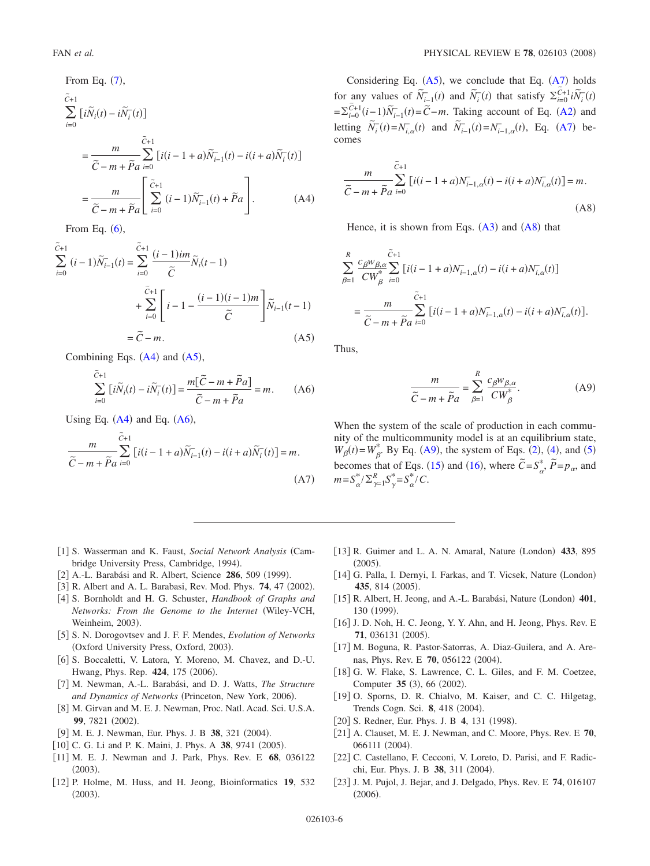<span id="page-5-15"></span>From Eq. (7),  
\n
$$
\tilde{c}_{+1} = \sum_{i=0}^{\tilde{c}_{+1}} [i\tilde{N}_i(t) - i\tilde{N}_i^-(t)]
$$
\n
$$
= \frac{m}{\tilde{C} - m + \tilde{P}a} \sum_{i=0}^{\tilde{C}+1} [i(i - 1 + a)\tilde{N}_{i-1}^-(t) - i(i + a)\tilde{N}_i^-(t)]
$$
\n
$$
= \frac{m}{\tilde{C} - m + \tilde{P}a} \left[ \sum_{i=0}^{\tilde{C}+1} (i - 1)\tilde{N}_{i-1}^-(t) + \tilde{P}a \right].
$$
\n(A4)

From Eq.  $(6)$  $(6)$  $(6)$ ,

<span id="page-5-16"></span>
$$
\tilde{C}^{+1}\sum_{i=0}^{\tilde{C}+1} (i-1)\tilde{N}_{i-1}^{-}(t) = \sum_{i=0}^{\tilde{C}+1} \frac{(i-1)im}{\tilde{C}} \tilde{N}_i(t-1) + \sum_{i=0}^{\tilde{C}+1} \left[ i-1 - \frac{(i-1)(i-1)m}{\tilde{C}} \right] \tilde{N}_{i-1}(t-1) = \tilde{C} - m.
$$
\n(A5)

Combining Eqs.  $(A4)$  $(A4)$  $(A4)$  and  $(A5)$  $(A5)$  $(A5)$ ,

$$
\sum_{i=0}^{\tilde{C}+1} \left[ i \tilde{N}_i(t) - i \tilde{N}_i^-(t) \right] = \frac{m[\tilde{C} - m + \tilde{P}a]}{\tilde{C} - m + \tilde{P}a} = m.
$$
 (A6)

<span id="page-5-17"></span>Using Eq.  $(A4)$  $(A4)$  $(A4)$  and Eq.  $(A6)$  $(A6)$  $(A6)$ ,

<span id="page-5-18"></span>
$$
\frac{m}{\tilde{C}-m+\tilde{P}a}\sum_{i=0}^{\tilde{C}+1}\left[i(i-1+a)\tilde{N}_{i-1}^-(t)-i(i+a)\tilde{N}_{i}^-(t)\right]=m.
$$
\n(A7)

Considering Eq.  $(A5)$  $(A5)$  $(A5)$ , we conclude that Eq.  $(A7)$  $(A7)$  $(A7)$  holds for any values of  $\overline{\tilde{N}_{i-1}^-(t)}$  and  $\overline{\tilde{N}_i^-(t)}$  that satisfy  $\sum_{i=0}^{\infty} i \overline{\tilde{N}_i^-(t)}$  $=\sum_{i=0}^{\infty} \tilde{C}^{+1}_{i=0}(i-1)\tilde{N}^{-}_{i-1}(t) = \tilde{C} - m$ . Taking account of Eq. ([A2](#page-4-3)) and letting  $\widetilde{N}_i^-(t) = N_{i,\alpha}^-(t)$  and  $\widetilde{N}_{i-1}^-(t) = N_{i-1,\alpha}^-(t)$ , Eq. ([A7](#page-5-18)) becomes

<span id="page-5-19"></span>
$$
\frac{m}{\tilde{C}-m+\tilde{P}a}\sum_{i=0}^{\tilde{C}+1}\left[i(i-1+a)N_{i-1,\alpha}^-(t)-i(i+a)N_{i,\alpha}^-(t)\right]=m.
$$
\n(A8)

Hence, it is shown from Eqs.  $(A3)$  $(A3)$  $(A3)$  and  $(A8)$  $(A8)$  $(A8)$  that

$$
\begin{split} & \sum_{\beta=1}^R \frac{c_{\beta} w_{\beta,\alpha}}{C W_{\beta}^*} \sum_{i=0}^{\widetilde{C}+1} \left[ i(i-1+a) N_{i-1,\alpha}^-(t) - i(i+a) N_{i,\alpha}^-(t) \right] \\ & = \frac{m}{\widetilde{C}-m+\widetilde{P}a} \sum_{i=0}^{\widetilde{C}+1} \left[ i(i-1+a) N_{i-1,\alpha}^-(t) - i(i+a) N_{i,\alpha}^-(t) \right]. \end{split}
$$

Thus,

$$
\frac{m}{\tilde{C} - m + \tilde{P}a} = \sum_{\beta=1}^{R} \frac{c_{\beta} w_{\beta,\alpha}}{C W_{\beta}^*}.
$$
 (A9)

<span id="page-5-20"></span>When the system of the scale of production in each community of the multicommunity model is at an equilibrium state,  $W_{\beta}(t) = W_{\beta}^*$ . By Eq. ([A9](#page-5-20)), the system of Eqs. ([2](#page-1-2)), ([4](#page-1-3)), and ([5](#page-1-4)) becomes that of Eqs. ([15](#page-4-0)) and ([16](#page-4-1)), where  $\tilde{C} = S_{\alpha}^{*}, \tilde{P} = p_{\alpha}$ , and  $m = S_{\alpha}^{*}/\sum_{\gamma=1}^{R} S_{\gamma}^{*} = S_{\alpha}^{*}/C.$ 

- 1 S. Wasserman and K. Faust, *Social Network Analysis* Cambridge University Press, Cambridge, 1994).
- <span id="page-5-0"></span>[2] A.-L. Barabási and R. Albert, Science **286**, 509 (1999).
- <span id="page-5-2"></span>[3] R. Albert and A. L. Barabasi, Rev. Mod. Phys. **74**, 47 (2002).
- [4] S. Bornholdt and H. G. Schuster, *Handbook of Graphs and Networks: From the Genome to the Internet* Wiley-VCH, Weinheim, 2003).
- 5 S. N. Dorogovtsev and J. F. F. Mendes, *Evolution of Networks* (Oxford University Press, Oxford, 2003).
- [6] S. Boccaletti, V. Latora, Y. Moreno, M. Chavez, and D.-U. Hwang, Phys. Rep. 424, 175 (2006).
- 7 M. Newman, A.-L. Barabási, and D. J. Watts, *The Structure* and Dynamics of Networks (Princeton, New York, 2006).
- <span id="page-5-1"></span>[8] M. Girvan and M. E. J. Newman, Proc. Natl. Acad. Sci. U.S.A. **99**, 7821 (2002).
- <span id="page-5-3"></span>[9] M. E. J. Newman, Eur. Phys. J. B 38, 321 (2004).
- [10] C. G. Li and P. K. Maini, J. Phys. A 38, 9741 (2005).
- <span id="page-5-4"></span>11 M. E. J. Newman and J. Park, Phys. Rev. E **68**, 036122  $(2003).$
- <span id="page-5-6"></span><span id="page-5-5"></span>12 P. Holme, M. Huss, and H. Jeong, Bioinformatics **19**, 532  $(2003).$
- [13] R. Guimer and L. A. N. Amaral, Nature (London) 433, 895  $(2005).$
- [14] G. Palla, I. Dernyi, I. Farkas, and T. Vicsek, Nature (London) 435, 814 (2005).
- <span id="page-5-7"></span>[15] R. Albert, H. Jeong, and A.-L. Barabási, Nature (London) 401, 130 (1999).
- <span id="page-5-8"></span>[16] J. D. Noh, H. C. Jeong, Y. Y. Ahn, and H. Jeong, Phys. Rev. E 71, 036131 (2005).
- <span id="page-5-9"></span>[17] M. Boguna, R. Pastor-Satorras, A. Diaz-Guilera, and A. Arenas, Phys. Rev. E **70**, 056122 (2004).
- <span id="page-5-10"></span>[18] G. W. Flake, S. Lawrence, C. L. Giles, and F. M. Coetzee, Computer 35 (3), 66 (2002).
- <span id="page-5-11"></span>[19] O. Sporns, D. R. Chialvo, M. Kaiser, and C. C. Hilgetag, Trends Cogn. Sci. 8, 418 (2004).
- <span id="page-5-12"></span>[20] S. Redner, Eur. Phys. J. B 4, 131 (1998).
- <span id="page-5-13"></span>21 A. Clauset, M. E. J. Newman, and C. Moore, Phys. Rev. E **70**, 066111 (2004).
- <span id="page-5-14"></span>22 C. Castellano, F. Cecconi, V. Loreto, D. Parisi, and F. Radicchi, Eur. Phys. J. B 38, 311 (2004).
- 23 J. M. Pujol, J. Bejar, and J. Delgado, Phys. Rev. E **74**, 016107  $(2006).$